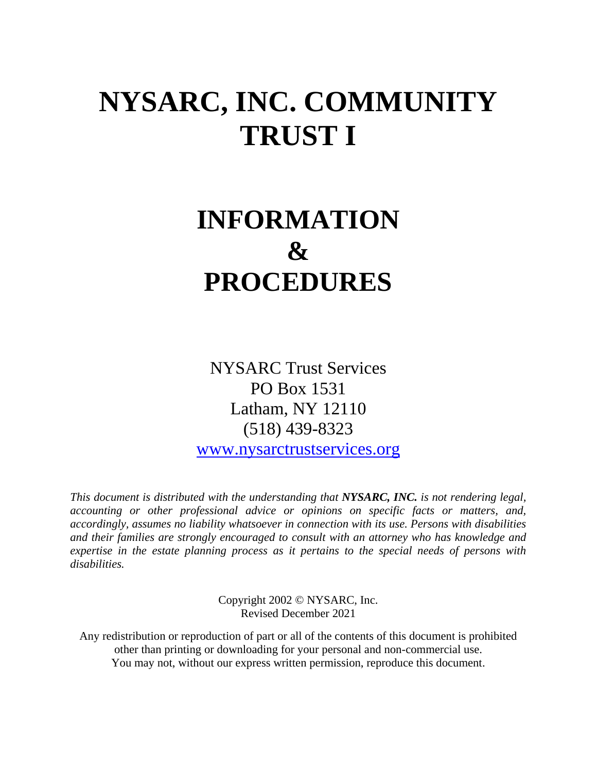# **NYSARC, INC. COMMUNITY TRUST I**

# **INFORMATION & PROCEDURES**

NYSARC Trust Services PO Box 1531 Latham, NY 12110 (518) 439-8323

[www.nysarctrustservices.org](http://www.nysarctrustservices.org/)

*This document is distributed with the understanding that NYSARC, INC. is not rendering legal, accounting or other professional advice or opinions on specific facts or matters, and, accordingly, assumes no liability whatsoever in connection with its use. Persons with disabilities and their families are strongly encouraged to consult with an attorney who has knowledge and expertise in the estate planning process as it pertains to the special needs of persons with disabilities.*

> Copyright 2002 © NYSARC, Inc. Revised December 2021

Any redistribution or reproduction of part or all of the contents of this document is prohibited other than printing or downloading for your personal and non-commercial use. You may not, without our express written permission, reproduce this document.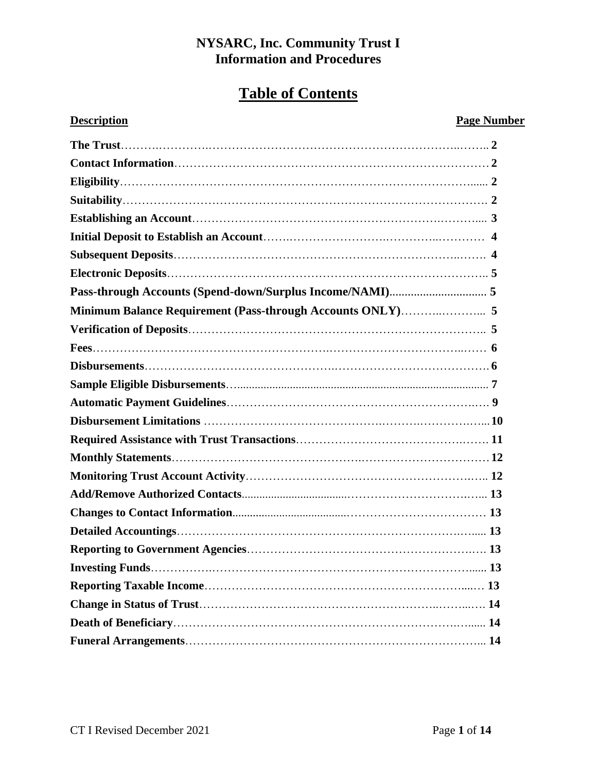# **Table of Contents**

# **Description Page Number**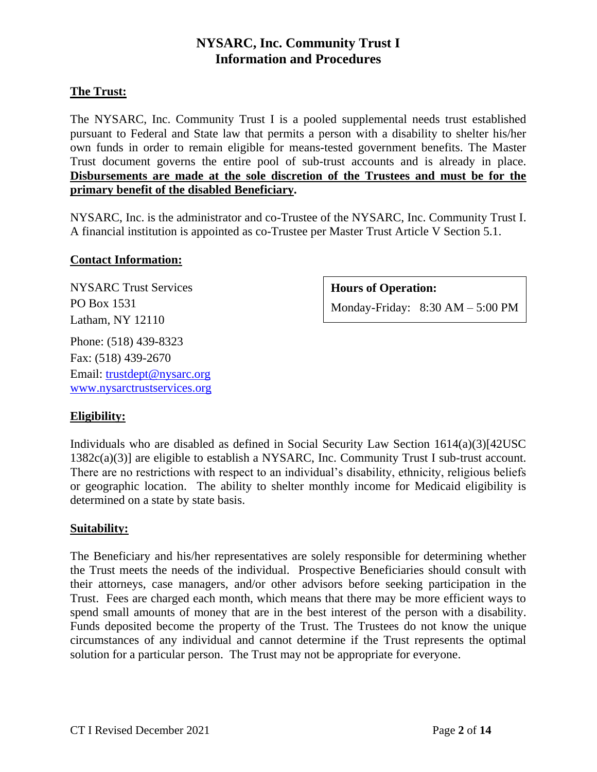# **The Trust:**

The NYSARC, Inc. Community Trust I is a pooled supplemental needs trust established pursuant to Federal and State law that permits a person with a disability to shelter his/her own funds in order to remain eligible for means-tested government benefits. The Master Trust document governs the entire pool of sub-trust accounts and is already in place. **Disbursements are made at the sole discretion of the Trustees and must be for the primary benefit of the disabled Beneficiary.** 

NYSARC, Inc. is the administrator and co-Trustee of the NYSARC, Inc. Community Trust I. A financial institution is appointed as co-Trustee per Master Trust Article V Section 5.1.

# **Contact Information:**

NYSARC Trust Services PO Box 1531 Latham, NY 12110 Phone: (518) 439-8323

Fax: (518) 439-2670 Email: [trustdept@nysarc.org](mailto:trustdept@nysarc.org) [www.nysarctrustservices.org](http://www.nysarctrustservices.org/)

# **Hours of Operation:**

Monday-Friday: 8:30 AM – 5:00 PM

# **Eligibility:**

Individuals who are disabled as defined in Social Security Law Section  $1614(a)(3)[42USC]$ 1382c(a)(3)] are eligible to establish a NYSARC, Inc. Community Trust I sub-trust account. There are no restrictions with respect to an individual's disability, ethnicity, religious beliefs or geographic location. The ability to shelter monthly income for Medicaid eligibility is determined on a state by state basis.

# **Suitability:**

The Beneficiary and his/her representatives are solely responsible for determining whether the Trust meets the needs of the individual. Prospective Beneficiaries should consult with their attorneys, case managers, and/or other advisors before seeking participation in the Trust. Fees are charged each month, which means that there may be more efficient ways to spend small amounts of money that are in the best interest of the person with a disability. Funds deposited become the property of the Trust. The Trustees do not know the unique circumstances of any individual and cannot determine if the Trust represents the optimal solution for a particular person. The Trust may not be appropriate for everyone.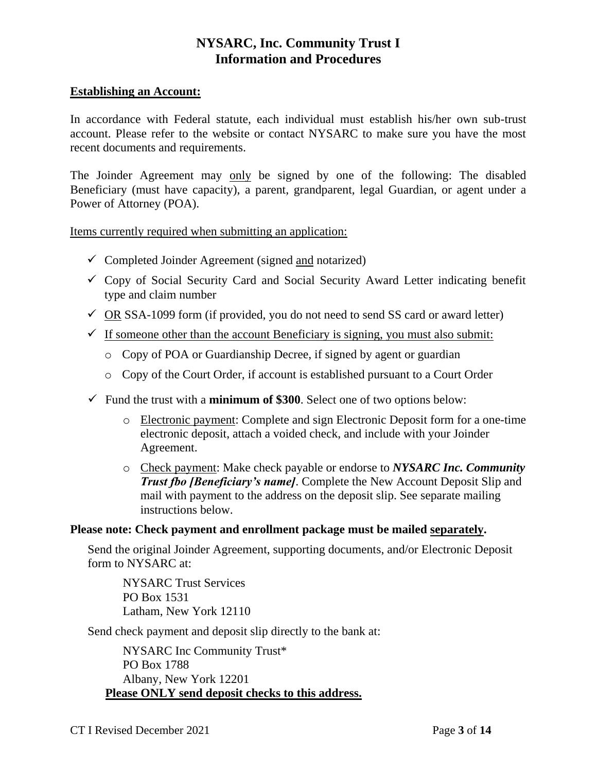### **Establishing an Account:**

In accordance with Federal statute, each individual must establish his/her own sub-trust account. Please refer to the website or contact NYSARC to make sure you have the most recent documents and requirements.

The Joinder Agreement may only be signed by one of the following: The disabled Beneficiary (must have capacity), a parent, grandparent, legal Guardian, or agent under a Power of Attorney (POA).

Items currently required when submitting an application:

- $\checkmark$  Completed Joinder Agreement (signed and notarized)
- $\checkmark$  Copy of Social Security Card and Social Security Award Letter indicating benefit type and claim number
- $\checkmark$  OR SSA-1099 form (if provided, you do not need to send SS card or award letter)
- $\checkmark$  If someone other than the account Beneficiary is signing, you must also submit:
	- o Copy of POA or Guardianship Decree, if signed by agent or guardian
	- o Copy of the Court Order, if account is established pursuant to a Court Order
- $\checkmark$  Fund the trust with a **minimum of \$300**. Select one of two options below:
	- o Electronic payment: Complete and sign Electronic Deposit form for a one-time electronic deposit, attach a voided check, and include with your Joinder Agreement.
	- o Check payment: Make check payable or endorse to *NYSARC Inc. Community Trust fbo [Beneficiary's name]*. Complete the New Account Deposit Slip and mail with payment to the address on the deposit slip. See separate mailing instructions below.

# **Please note: Check payment and enrollment package must be mailed separately.**

Send the original Joinder Agreement, supporting documents, and/or Electronic Deposit form to NYSARC at:

NYSARC Trust Services PO Box 1531 Latham, New York 12110

Send check payment and deposit slip directly to the bank at:

NYSARC Inc Community Trust\* PO Box 1788 Albany, New York 12201 **Please ONLY send deposit checks to this address.**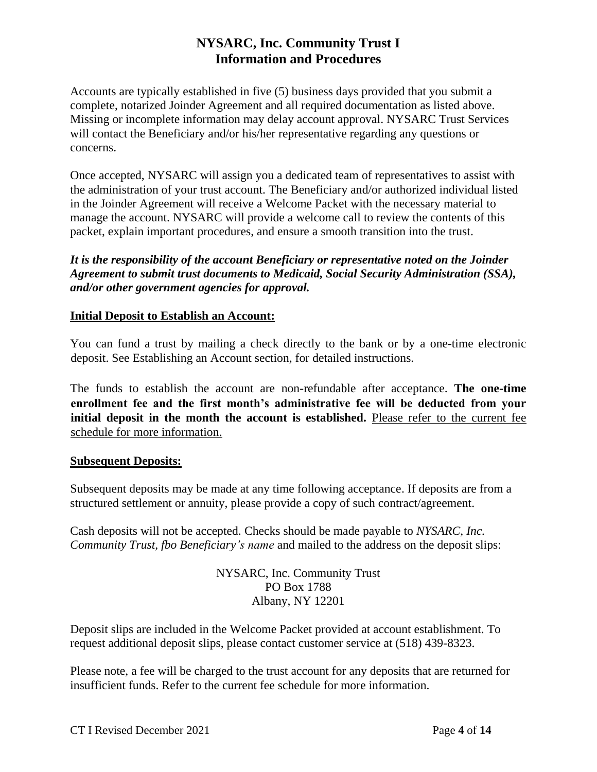Accounts are typically established in five (5) business days provided that you submit a complete, notarized Joinder Agreement and all required documentation as listed above. Missing or incomplete information may delay account approval. NYSARC Trust Services will contact the Beneficiary and/or his/her representative regarding any questions or concerns.

Once accepted, NYSARC will assign you a dedicated team of representatives to assist with the administration of your trust account. The Beneficiary and/or authorized individual listed in the Joinder Agreement will receive a Welcome Packet with the necessary material to manage the account. NYSARC will provide a welcome call to review the contents of this packet, explain important procedures, and ensure a smooth transition into the trust.

*It is the responsibility of the account Beneficiary or representative noted on the Joinder Agreement to submit trust documents to Medicaid, Social Security Administration (SSA), and/or other government agencies for approval.*

# **Initial Deposit to Establish an Account:**

You can fund a trust by mailing a check directly to the bank or by a one-time electronic deposit. See Establishing an Account section, for detailed instructions.

The funds to establish the account are non-refundable after acceptance. **The one-time enrollment fee and the first month's administrative fee will be deducted from your initial deposit in the month the account is established.** Please refer to the current fee schedule for more information.

# **Subsequent Deposits:**

Subsequent deposits may be made at any time following acceptance. If deposits are from a structured settlement or annuity, please provide a copy of such contract/agreement.

Cash deposits will not be accepted. Checks should be made payable to *NYSARC, Inc. Community Trust, fbo Beneficiary's name* and mailed to the address on the deposit slips:

> NYSARC, Inc. Community Trust PO Box 1788 Albany, NY 12201

Deposit slips are included in the Welcome Packet provided at account establishment. To request additional deposit slips, please contact customer service at (518) 439-8323.

Please note, a fee will be charged to the trust account for any deposits that are returned for insufficient funds. Refer to the current fee schedule for more information.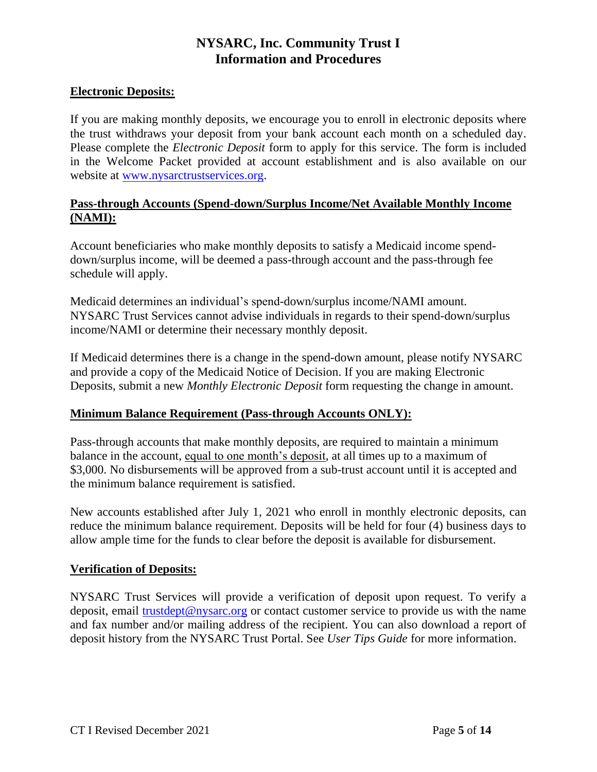# **Electronic Deposits:**

If you are making monthly deposits, we encourage you to enroll in electronic deposits where the trust withdraws your deposit from your bank account each month on a scheduled day. Please complete the *Electronic Deposit* form to apply for this service. The form is included in the Welcome Packet provided at account establishment and is also available on our website at [www.nysarctrustservices.org.](http://www.nysarctrustservices.org/)

# **Pass-through Accounts (Spend-down/Surplus Income/Net Available Monthly Income (NAMI):**

Account beneficiaries who make monthly deposits to satisfy a Medicaid income spenddown/surplus income, will be deemed a pass-through account and the pass-through fee schedule will apply.

Medicaid determines an individual's spend-down/surplus income/NAMI amount. NYSARC Trust Services cannot advise individuals in regards to their spend-down/surplus income/NAMI or determine their necessary monthly deposit.

If Medicaid determines there is a change in the spend-down amount, please notify NYSARC and provide a copy of the Medicaid Notice of Decision. If you are making Electronic Deposits, submit a new *Monthly Electronic Deposit* form requesting the change in amount.

# **Minimum Balance Requirement (Pass-through Accounts ONLY):**

Pass-through accounts that make monthly deposits, are required to maintain a minimum balance in the account, equal to one month's deposit, at all times up to a maximum of \$3,000. No disbursements will be approved from a sub-trust account until it is accepted and the minimum balance requirement is satisfied.

New accounts established after July 1, 2021 who enroll in monthly electronic deposits, can reduce the minimum balance requirement. Deposits will be held for four (4) business days to allow ample time for the funds to clear before the deposit is available for disbursement.

# **Verification of Deposits:**

NYSARC Trust Services will provide a verification of deposit upon request. To verify a deposit, email [trustdept@nysarc.org](mailto:trustdept@nysarc.org) or contact customer service to provide us with the name and fax number and/or mailing address of the recipient. You can also download a report of deposit history from the NYSARC Trust Portal. See *User Tips Guide* for more information.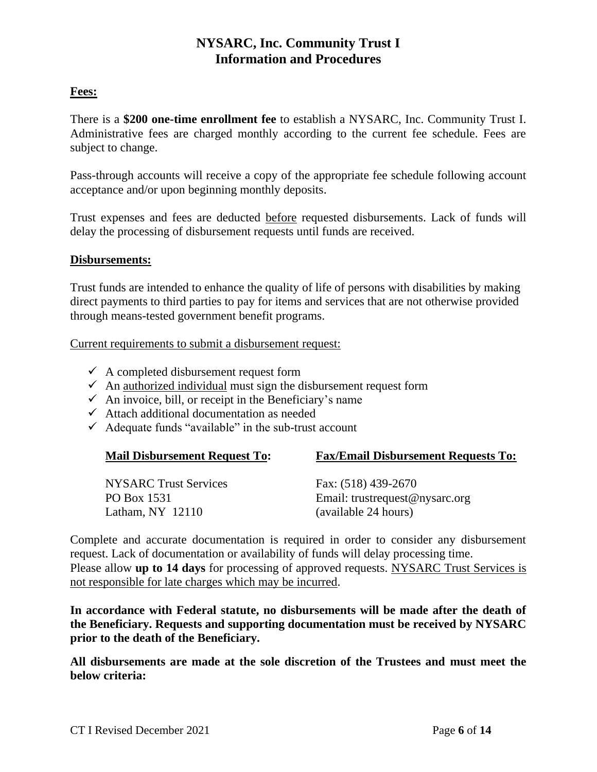# **Fees:**

There is a **\$200 one-time enrollment fee** to establish a NYSARC, Inc. Community Trust I. Administrative fees are charged monthly according to the current fee schedule. Fees are subject to change.

Pass-through accounts will receive a copy of the appropriate fee schedule following account acceptance and/or upon beginning monthly deposits.

Trust expenses and fees are deducted before requested disbursements. Lack of funds will delay the processing of disbursement requests until funds are received.

#### **Disbursements:**

Trust funds are intended to enhance the quality of life of persons with disabilities by making direct payments to third parties to pay for items and services that are not otherwise provided through means-tested government benefit programs.

Current requirements to submit a disbursement request:

- $\checkmark$  A completed disbursement request form
- $\checkmark$  An authorized individual must sign the disbursement request form
- $\checkmark$  An invoice, bill, or receipt in the Beneficiary's name
- $\checkmark$  Attach additional documentation as needed
- $\checkmark$  Adequate funds "available" in the sub-trust account

| <b>Mail Disbursement Request To:</b>                              | <b>Fax/Email Disbursement Requests To:</b>                                    |
|-------------------------------------------------------------------|-------------------------------------------------------------------------------|
| <b>NYSARC</b> Trust Services<br>PO Box 1531<br>Latham, $NY$ 12110 | Fax: (518) 439-2670<br>Email: trustrequest@nysarc.org<br>(available 24 hours) |
|                                                                   |                                                                               |

Complete and accurate documentation is required in order to consider any disbursement request. Lack of documentation or availability of funds will delay processing time. Please allow **up to 14 days** for processing of approved requests. NYSARC Trust Services is not responsible for late charges which may be incurred.

**In accordance with Federal statute, no disbursements will be made after the death of the Beneficiary. Requests and supporting documentation must be received by NYSARC prior to the death of the Beneficiary.**

**All disbursements are made at the sole discretion of the Trustees and must meet the below criteria:**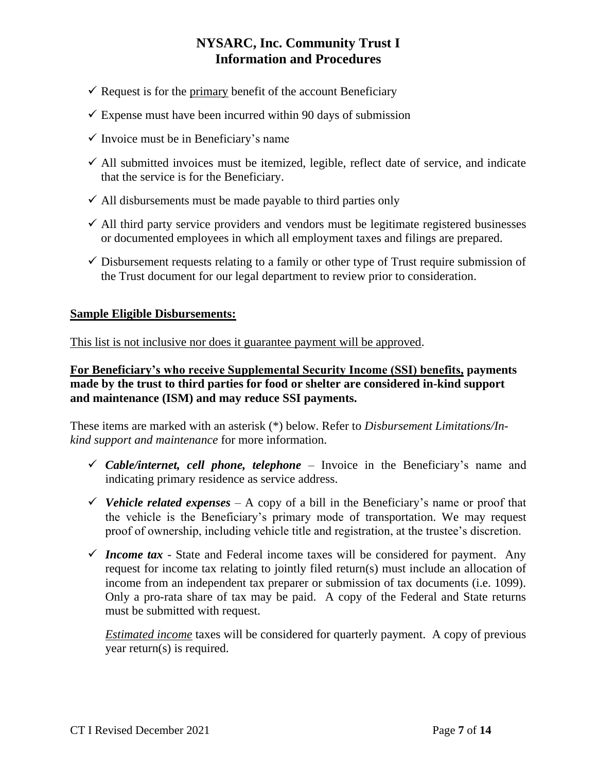- $\checkmark$  Request is for the primary benefit of the account Beneficiary
- $\checkmark$  Expense must have been incurred within 90 days of submission
- $\checkmark$  Invoice must be in Beneficiary's name
- $\checkmark$  All submitted invoices must be itemized, legible, reflect date of service, and indicate that the service is for the Beneficiary.
- $\checkmark$  All disbursements must be made payable to third parties only
- $\checkmark$  All third party service providers and vendors must be legitimate registered businesses or documented employees in which all employment taxes and filings are prepared.
- $\checkmark$  Disbursement requests relating to a family or other type of Trust require submission of the Trust document for our legal department to review prior to consideration.

# **Sample Eligible Disbursements:**

This list is not inclusive nor does it guarantee payment will be approved.

**For Beneficiary's who receive Supplemental Security Income (SSI) benefits, payments made by the trust to third parties for food or shelter are considered in-kind support and maintenance (ISM) and may reduce SSI payments.**

These items are marked with an asterisk (\*) below. Refer to *Disbursement Limitations/Inkind support and maintenance* for more information.

- $\checkmark$  Cable/internet, cell phone, telephone Invoice in the Beneficiary's name and indicating primary residence as service address.
- *V* Vehicle related expenses A copy of a bill in the Beneficiary's name or proof that the vehicle is the Beneficiary's primary mode of transportation. We may request proof of ownership, including vehicle title and registration, at the trustee's discretion.
- *Income tax* State and Federal income taxes will be considered for payment. Any request for income tax relating to jointly filed return(s) must include an allocation of income from an independent tax preparer or submission of tax documents (i.e. 1099). Only a pro-rata share of tax may be paid. A copy of the Federal and State returns must be submitted with request.

*Estimated income* taxes will be considered for quarterly payment. A copy of previous year return(s) is required.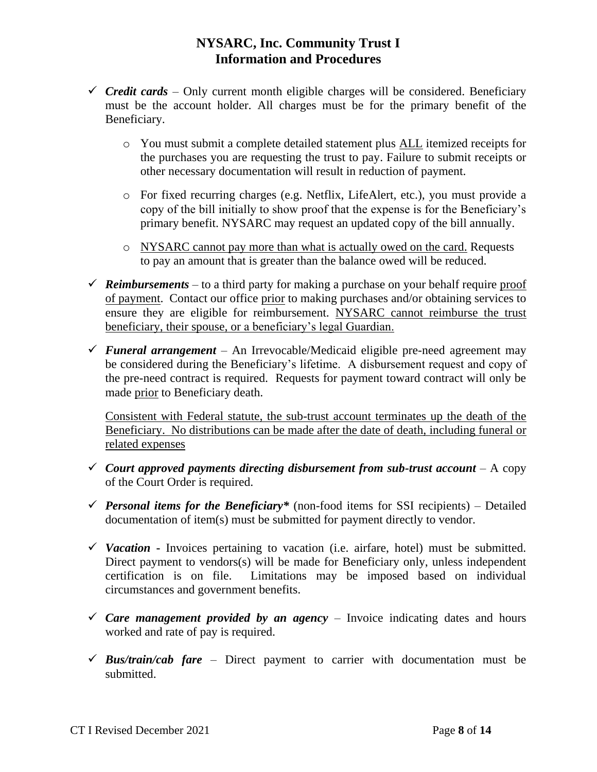- $\checkmark$  *Credit cards* Only current month eligible charges will be considered. Beneficiary must be the account holder. All charges must be for the primary benefit of the Beneficiary.
	- o You must submit a complete detailed statement plus ALL itemized receipts for the purchases you are requesting the trust to pay. Failure to submit receipts or other necessary documentation will result in reduction of payment.
	- o For fixed recurring charges (e.g. Netflix, LifeAlert, etc.), you must provide a copy of the bill initially to show proof that the expense is for the Beneficiary's primary benefit. NYSARC may request an updated copy of the bill annually.
	- o NYSARC cannot pay more than what is actually owed on the card. Requests to pay an amount that is greater than the balance owed will be reduced.
- $\checkmark$  *Reimbursements* to a third party for making a purchase on your behalf require proof of payment. Contact our office prior to making purchases and/or obtaining services to ensure they are eligible for reimbursement. NYSARC cannot reimburse the trust beneficiary, their spouse, or a beneficiary's legal Guardian.
- *Funeral arrangement –* An Irrevocable/Medicaid eligible pre-need agreement may be considered during the Beneficiary's lifetime. A disbursement request and copy of the pre-need contract is required. Requests for payment toward contract will only be made prior to Beneficiary death.

Consistent with Federal statute, the sub-trust account terminates up the death of the Beneficiary. No distributions can be made after the date of death, including funeral or related expenses

- *Court approved payments directing disbursement from sub-trust account*  $-$  *A copy* of the Court Order is required.
- *Personal items for the Beneficiary\** (non-food items for SSI recipients) Detailed documentation of item(s) must be submitted for payment directly to vendor.
- *V* Vacation **-** Invoices pertaining to vacation (i.e. airfare, hotel) must be submitted. Direct payment to vendors(s) will be made for Beneficiary only, unless independent certification is on file. Limitations may be imposed based on individual circumstances and government benefits.
- $\checkmark$  *Care management provided by an agency* Invoice indicating dates and hours worked and rate of pay is required.
- $\checkmark$  **Bus/train/cab fare** Direct payment to carrier with documentation must be submitted.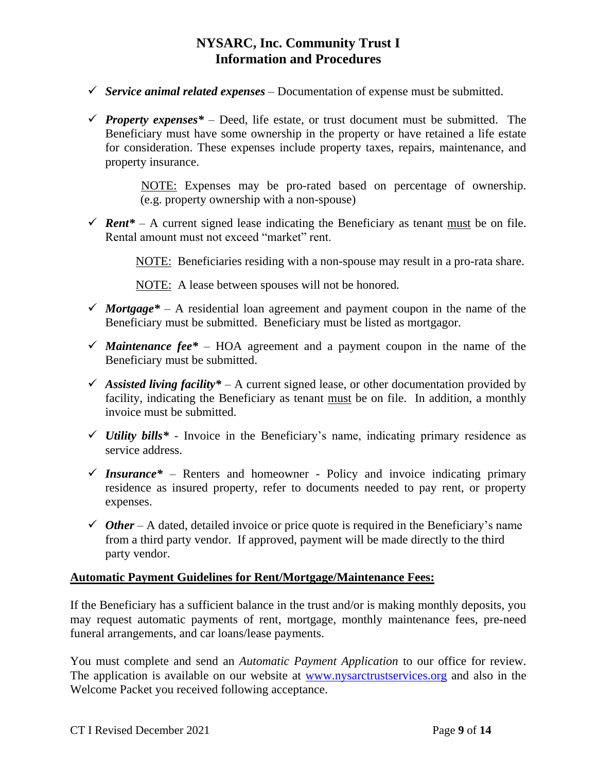- $\checkmark$  Service animal related expenses Documentation of expense must be submitted.
- *Property expenses*<sup>\*</sup> Deed, life estate, or trust document must be submitted. The Beneficiary must have some ownership in the property or have retained a life estate for consideration. These expenses include property taxes, repairs, maintenance, and property insurance.

 NOTE: Expenses may be pro-rated based on percentage of ownership. (e.g. property ownership with a non-spouse)

*Figure – A current signed lease indicating the Beneficiary as tenant must be on file.* Rental amount must not exceed "market" rent.

NOTE:Beneficiaries residing with a non-spouse may result in a pro-rata share.

NOTE: A lease between spouses will not be honored*.*

- *Mortgage*<sup>\*</sup> A residential loan agreement and payment coupon in the name of the Beneficiary must be submitted. Beneficiary must be listed as mortgagor.
- *Maintenance fee\** HOA agreement and a payment coupon in the name of the Beneficiary must be submitted.
- Assisted living facility\*  $A$  current signed lease, or other documentation provided by facility, indicating the Beneficiary as tenant must be on file. In addition, a monthly invoice must be submitted.
- $\checkmark$  *Utility bills*<sup>\*</sup> Invoice in the Beneficiary's name, indicating primary residence as service address.
- $\checkmark$  Insurance\* Renters and homeowner Policy and invoice indicating primary residence as insured property, refer to documents needed to pay rent, or property expenses.
- $\checkmark$  *Other* A dated, detailed invoice or price quote is required in the Beneficiary's name from a third party vendor. If approved, payment will be made directly to the third party vendor.

# **Automatic Payment Guidelines for Rent/Mortgage/Maintenance Fees:**

If the Beneficiary has a sufficient balance in the trust and/or is making monthly deposits, you may request automatic payments of rent, mortgage, monthly maintenance fees, pre-need funeral arrangements, and car loans/lease payments.

You must complete and send an *Automatic Payment Application* to our office for review. The application is available on our website at [www.nysarctrustservices.org](http://www.nysarctrustservices.org/) and also in the Welcome Packet you received following acceptance.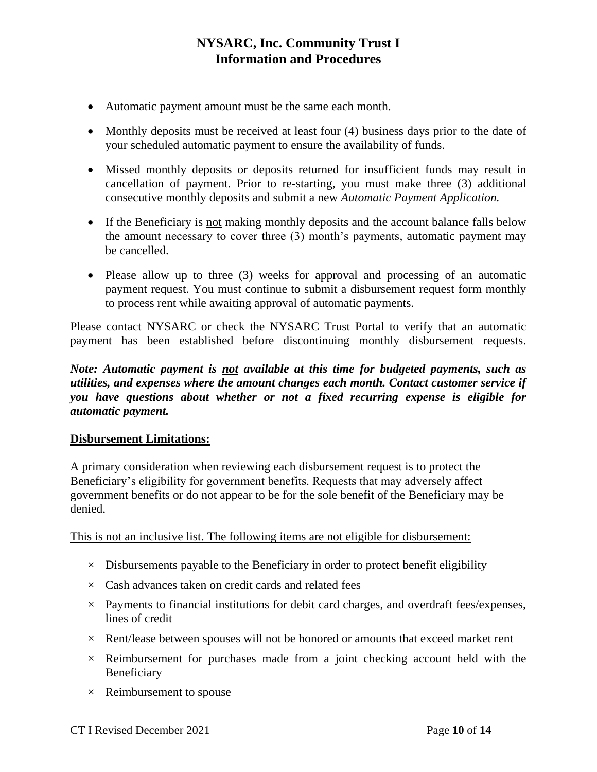- Automatic payment amount must be the same each month.
- Monthly deposits must be received at least four (4) business days prior to the date of your scheduled automatic payment to ensure the availability of funds.
- Missed monthly deposits or deposits returned for insufficient funds may result in cancellation of payment. Prior to re-starting, you must make three (3) additional consecutive monthly deposits and submit a new *Automatic Payment Application.*
- If the Beneficiary is not making monthly deposits and the account balance falls below the amount necessary to cover three (3) month's payments, automatic payment may be cancelled.
- Please allow up to three (3) weeks for approval and processing of an automatic payment request. You must continue to submit a disbursement request form monthly to process rent while awaiting approval of automatic payments.

Please contact NYSARC or check the NYSARC Trust Portal to verify that an automatic payment has been established before discontinuing monthly disbursement requests.

*Note: Automatic payment is not available at this time for budgeted payments, such as utilities, and expenses where the amount changes each month. Contact customer service if you have questions about whether or not a fixed recurring expense is eligible for automatic payment.*

# **Disbursement Limitations:**

A primary consideration when reviewing each disbursement request is to protect the Beneficiary's eligibility for government benefits. Requests that may adversely affect government benefits or do not appear to be for the sole benefit of the Beneficiary may be denied.

This is not an inclusive list. The following items are not eligible for disbursement:

- $\times$  Disbursements payable to the Beneficiary in order to protect benefit eligibility
- $\times$  Cash advances taken on credit cards and related fees
- $\times$  Payments to financial institutions for debit card charges, and overdraft fees/expenses, lines of credit
- $\times$  Rent/lease between spouses will not be honored or amounts that exceed market rent
- $\times$  Reimbursement for purchases made from a joint checking account held with the Beneficiary
- $\times$  Reimbursement to spouse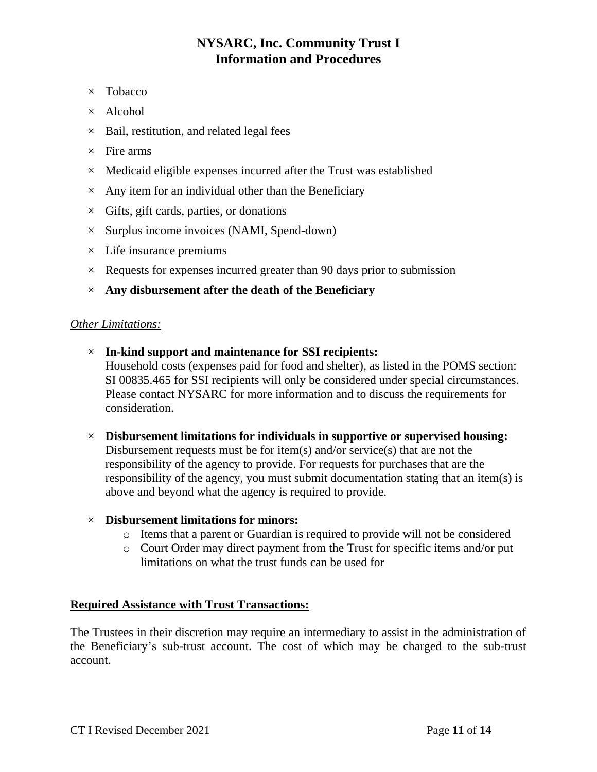- × Tobacco
- $\times$  Alcohol
- $\times$  Bail, restitution, and related legal fees
- $\times$  Fire arms
- $\times$  Medicaid eligible expenses incurred after the Trust was established
- $\times$  Any item for an individual other than the Beneficiary
- $\times$  Gifts, gift cards, parties, or donations
- $\times$  Surplus income invoices (NAMI, Spend-down)
- $\times$  Life insurance premiums
- $\times$  Requests for expenses incurred greater than 90 days prior to submission
- × **Any disbursement after the death of the Beneficiary**

#### *Other Limitations:*

- × **In-kind support and maintenance for SSI recipients:** Household costs (expenses paid for food and shelter), as listed in the POMS section: SI 00835.465 for SSI recipients will only be considered under special circumstances. Please contact NYSARC for more information and to discuss the requirements for consideration.
- × **Disbursement limitations for individuals in supportive or supervised housing:** Disbursement requests must be for item(s) and/or service(s) that are not the responsibility of the agency to provide. For requests for purchases that are the responsibility of the agency, you must submit documentation stating that an item(s) is above and beyond what the agency is required to provide.

#### × **Disbursement limitations for minors:**

- o Items that a parent or Guardian is required to provide will not be considered
- o Court Order may direct payment from the Trust for specific items and/or put limitations on what the trust funds can be used for

#### **Required Assistance with Trust Transactions:**

The Trustees in their discretion may require an intermediary to assist in the administration of the Beneficiary's sub-trust account. The cost of which may be charged to the sub-trust account.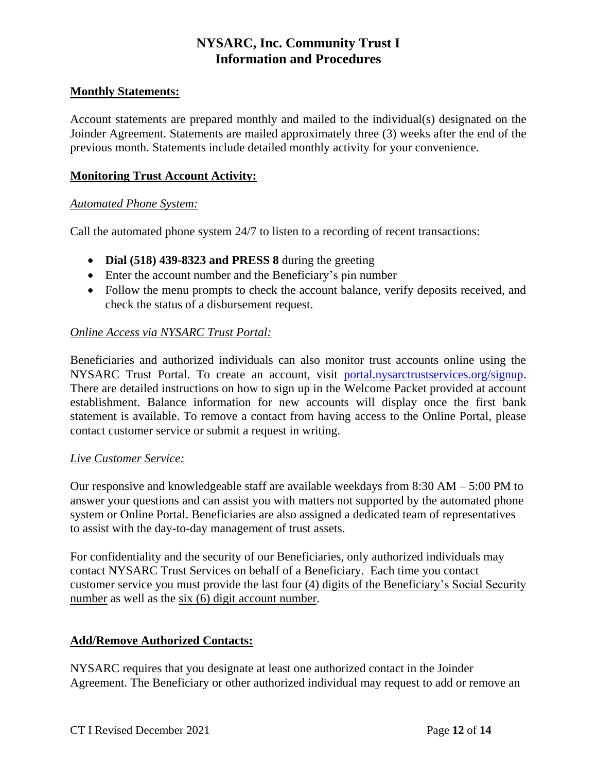### **Monthly Statements:**

Account statements are prepared monthly and mailed to the individual(s) designated on the Joinder Agreement. Statements are mailed approximately three (3) weeks after the end of the previous month. Statements include detailed monthly activity for your convenience.

### **Monitoring Trust Account Activity:**

#### *Automated Phone System:*

Call the automated phone system 24/7 to listen to a recording of recent transactions:

- **Dial (518) 439-8323 and PRESS 8** during the greeting
- Enter the account number and the Beneficiary's pin number
- Follow the menu prompts to check the account balance, verify deposits received, and check the status of a disbursement request.

# *Online Access via NYSARC Trust Portal:*

Beneficiaries and authorized individuals can also monitor trust accounts online using the NYSARC Trust Portal. To create an account, visit [portal.nysarctrustservices.org/signup.](https://portal.nysarctrustservices.org/signup) There are detailed instructions on how to sign up in the Welcome Packet provided at account establishment. Balance information for new accounts will display once the first bank statement is available. To remove a contact from having access to the Online Portal, please contact customer service or submit a request in writing.

#### *Live Customer Service:*

Our responsive and knowledgeable staff are available weekdays from 8:30 AM – 5:00 PM to answer your questions and can assist you with matters not supported by the automated phone system or Online Portal. Beneficiaries are also assigned a dedicated team of representatives to assist with the day-to-day management of trust assets.

For confidentiality and the security of our Beneficiaries, only authorized individuals may contact NYSARC Trust Services on behalf of a Beneficiary. Each time you contact customer service you must provide the last four (4) digits of the Beneficiary's Social Security number as well as the six (6) digit account number.

# **Add/Remove Authorized Contacts:**

NYSARC requires that you designate at least one authorized contact in the Joinder Agreement. The Beneficiary or other authorized individual may request to add or remove an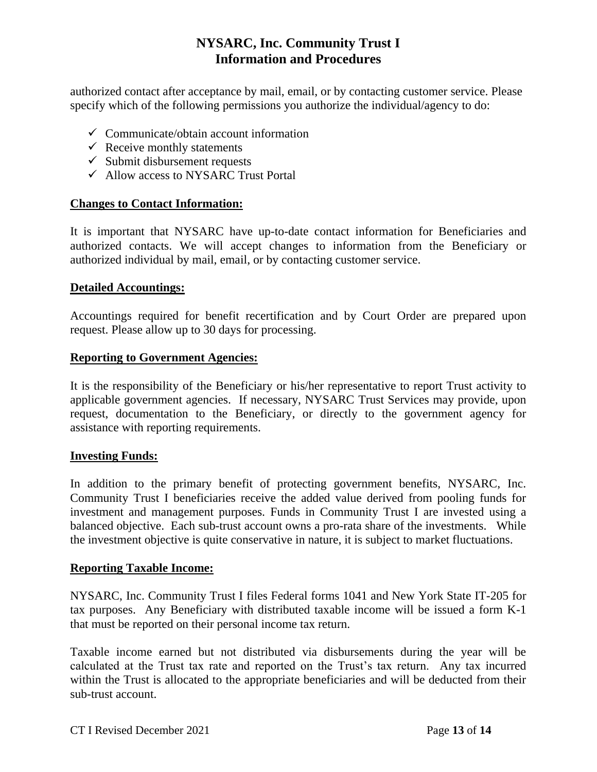authorized contact after acceptance by mail, email, or by contacting customer service. Please specify which of the following permissions you authorize the individual/agency to do:

- $\checkmark$  Communicate/obtain account information
- $\checkmark$  Receive monthly statements
- $\checkmark$  Submit disbursement requests
- Allow access to NYSARC Trust Portal

# **Changes to Contact Information:**

It is important that NYSARC have up-to-date contact information for Beneficiaries and authorized contacts. We will accept changes to information from the Beneficiary or authorized individual by mail, email, or by contacting customer service.

#### **Detailed Accountings:**

Accountings required for benefit recertification and by Court Order are prepared upon request. Please allow up to 30 days for processing.

#### **Reporting to Government Agencies:**

It is the responsibility of the Beneficiary or his/her representative to report Trust activity to applicable government agencies. If necessary, NYSARC Trust Services may provide, upon request, documentation to the Beneficiary, or directly to the government agency for assistance with reporting requirements.

#### **Investing Funds:**

In addition to the primary benefit of protecting government benefits, NYSARC, Inc. Community Trust I beneficiaries receive the added value derived from pooling funds for investment and management purposes. Funds in Community Trust I are invested using a balanced objective. Each sub-trust account owns a pro-rata share of the investments. While the investment objective is quite conservative in nature, it is subject to market fluctuations.

# **Reporting Taxable Income:**

NYSARC, Inc. Community Trust I files Federal forms 1041 and New York State IT-205 for tax purposes. Any Beneficiary with distributed taxable income will be issued a form K-1 that must be reported on their personal income tax return.

Taxable income earned but not distributed via disbursements during the year will be calculated at the Trust tax rate and reported on the Trust's tax return. Any tax incurred within the Trust is allocated to the appropriate beneficiaries and will be deducted from their sub-trust account.